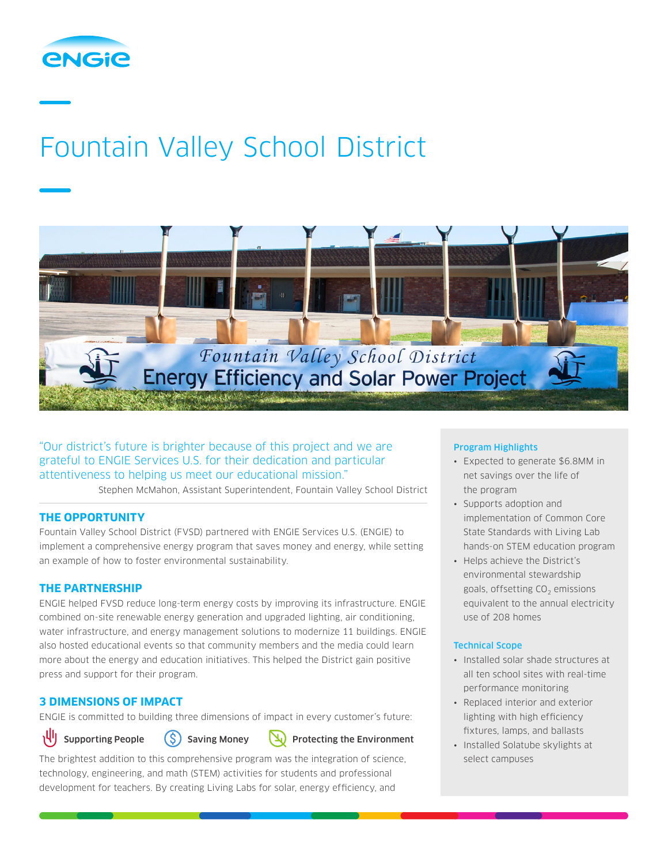

# Fountain Valley School District



"Our district's future is brighter because of this project and we are grateful to ENGIE Services U.S. for their dedication and particular attentiveness to helping us meet our educational mission."

Stephen McMahon, Assistant Superintendent, Fountain Valley School District

## **THE OPPORTUNITY**

Fountain Valley School District (FVSD) partnered with ENGIE Services U.S. (ENGIE) to implement a comprehensive energy program that saves money and energy, while setting an example of how to foster environmental sustainability.

## **THE PARTNERSHIP**

ENGIE helped FVSD reduce long-term energy costs by improving its infrastructure. ENGIE combined on-site renewable energy generation and upgraded lighting, air conditioning, water infrastructure, and energy management solutions to modernize 11 buildings. ENGIE also hosted educational events so that community members and the media could learn more about the energy and education initiatives. This helped the District gain positive press and support for their program.

# **3 DIMENSIONS OF IMPACT**

ENGIE is committed to building three dimensions of impact in every customer's future:



Supporting People  $(S)$  Saving Money  $(Y)$  Protecting the Environment

The brightest addition to this comprehensive program was the integration of science, technology, engineering, and math (STEM) activities for students and professional development for teachers. By creating Living Labs for solar, energy efficiency, and

### Program Highlights

- Expected to generate \$6.8MM in net savings over the life of the program
- Supports adoption and implementation of Common Core State Standards with Living Lab hands-on STEM education program
- Helps achieve the District's environmental stewardship goals, offsetting  $CO<sub>2</sub>$  emissions equivalent to the annual electricity use of 208 homes

## Technical Scope

- Installed solar shade structures at all ten school sites with real-time performance monitoring
- Replaced interior and exterior lighting with high efficiency fixtures, lamps, and ballasts
- Installed Solatube skylights at select campuses